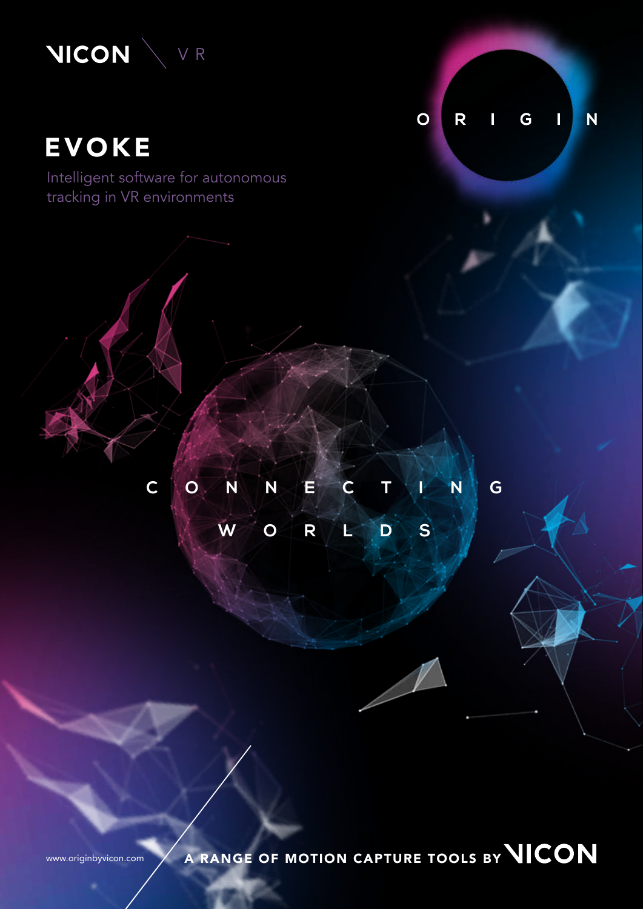

# EVOKE

Intelligent software for autonomous tracking in VR environments

G  $\overline{O}$  $\overline{\mathsf{R}}$ N  $\begin{array}{c} \hline \end{array}$ 

# **CONNECTING WORLDS**

www.originbyvicon.com A RANGE OF MOTION CAPTURE TOOLS BY **WICON**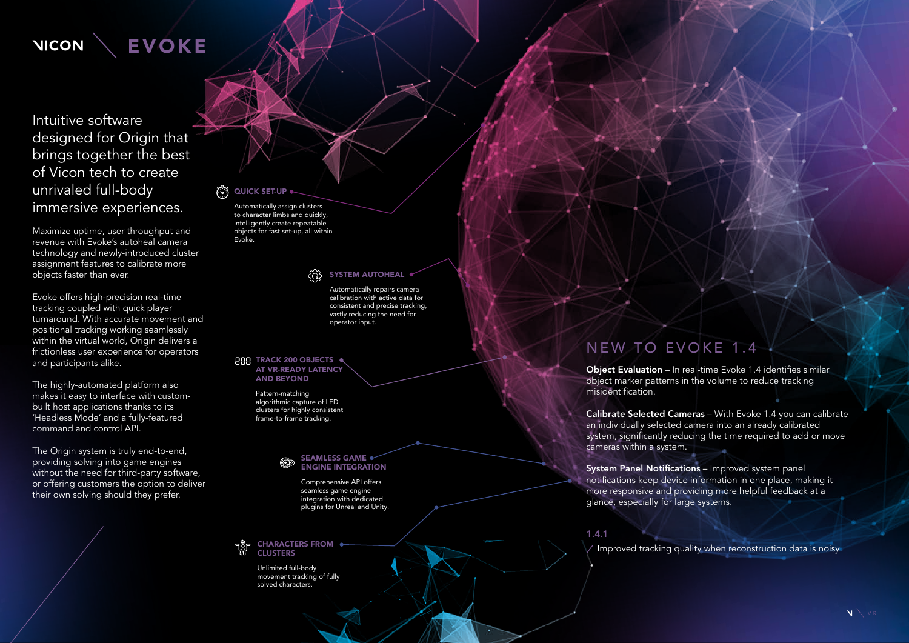

Intuitive software designed for Origin that brings together the best of Vicon tech to create unrivaled full-body immersive experiences.

Maximize uptime, user throughput and revenue with Evoke's autoheal camera technology and newly-introduced cluster assignment features to calibrate more objects faster than ever.

Evoke offers high-precision real-time tracking coupled with quick player turnaround. With accurate movement and positional tracking working seamlessly within the virtual world, Origin delivers a frictionless user experience for operators and participants alike.

The highly-automated platform also makes it easy to interface with custombuilt host applications thanks to its 'Headless Mode' and a fully-featured command and control API.

The Origin system is truly end-to-end, providing solving into game engines without the need for third-party software, or offering customers the option to deliver their own solving should they prefer.

## $\binom{2}{3}$  QUICK SET-UP  $\bullet$

## NEW TO EVOKE 1.4

## **PBB** TRACK 200 OBJECTS AT VR-READY LATENCY AND BEYOND

Object Evaluation – In real-time Evoke 1.4 identifies similar object marker patterns in the volume to reduce tracking misidentification.

Calibrate Selected Cameras – With Evoke 1.4 you can calibrate an individually selected camera into an already calibrated system, significantly reducing the time required to add or move cameras within a system.

System Panel Notifications – Improved system panel notifications keep device information in one place, making it more responsive and providing more helpful feedback at a glance, especially for large systems.

1.4.1

Improved tracking quality when reconstruction data is noisy. CHARACTERS FROM

Unlimited full-body movement tracking of fully solved characters.

Automatically repairs camera calibration with active data for consistent and precise tracking, vastly reducing the need for operator input.

Automatically assign clusters to character limbs and quickly, intelligently create repeatable objects for fast set-up, all within Evoke.

#### SYSTEM AUTOHEAL ද්රාදි

Pattern-matching algorithmic capture of LED clusters for highly consistent frame-to-frame tracking.

## SEAMLESS GAME ENGINE INTEGRATION

Comprehensive API offers seamless game engine integration with dedicated plugins for Unreal and Unity.

## **CLUSTERS**